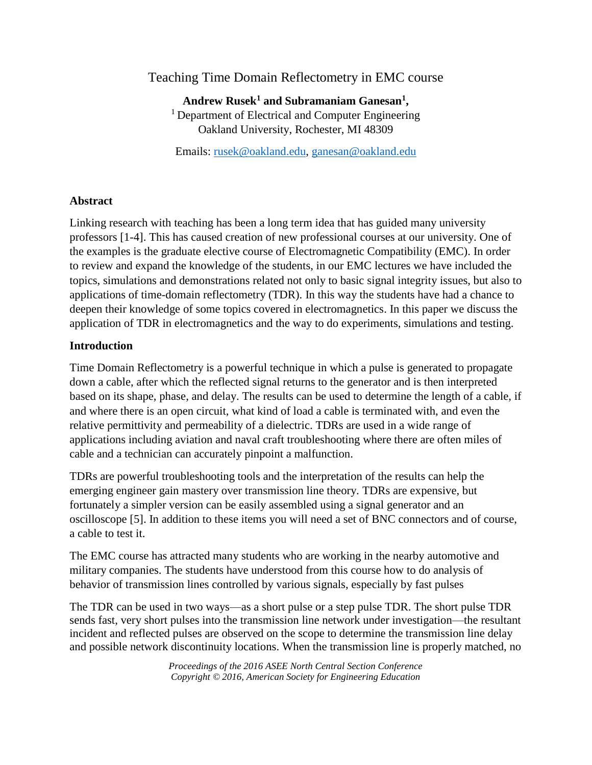# Teaching Time Domain Reflectometry in EMC course

**Andrew Rusek<sup>1</sup> and Subramaniam Ganesan<sup>1</sup> ,** <sup>1</sup> Department of Electrical and Computer Engineering Oakland University, Rochester, MI 48309

Emails: [rusek@oakland.edu,](mailto:rusek@oakland.edu) [ganesan@oakland.edu](mailto:ganesan@oakland.edu)

## **Abstract**

Linking research with teaching has been a long term idea that has guided many university professors [1-4]. This has caused creation of new professional courses at our university. One of the examples is the graduate elective course of Electromagnetic Compatibility (EMC). In order to review and expand the knowledge of the students, in our EMC lectures we have included the topics, simulations and demonstrations related not only to basic signal integrity issues, but also to applications of time-domain reflectometry (TDR). In this way the students have had a chance to deepen their knowledge of some topics covered in electromagnetics. In this paper we discuss the application of TDR in electromagnetics and the way to do experiments, simulations and testing.

## **Introduction**

Time Domain Reflectometry is a powerful technique in which a pulse is generated to propagate down a cable, after which the reflected signal returns to the generator and is then interpreted based on its shape, phase, and delay. The results can be used to determine the length of a cable, if and where there is an open circuit, what kind of load a cable is terminated with, and even the relative permittivity and permeability of a dielectric. TDRs are used in a wide range of applications including aviation and naval craft troubleshooting where there are often miles of cable and a technician can accurately pinpoint a malfunction.

TDRs are powerful troubleshooting tools and the interpretation of the results can help the emerging engineer gain mastery over transmission line theory. TDRs are expensive, but fortunately a simpler version can be easily assembled using a signal generator and an oscilloscope [5]. In addition to these items you will need a set of BNC connectors and of course, a cable to test it.

The EMC course has attracted many students who are working in the nearby automotive and military companies. The students have understood from this course how to do analysis of behavior of transmission lines controlled by various signals, especially by fast pulses

The TDR can be used in two ways—as a short pulse or a step pulse TDR. The short pulse TDR sends fast, very short pulses into the transmission line network under investigation—the resultant incident and reflected pulses are observed on the scope to determine the transmission line delay and possible network discontinuity locations. When the transmission line is properly matched, no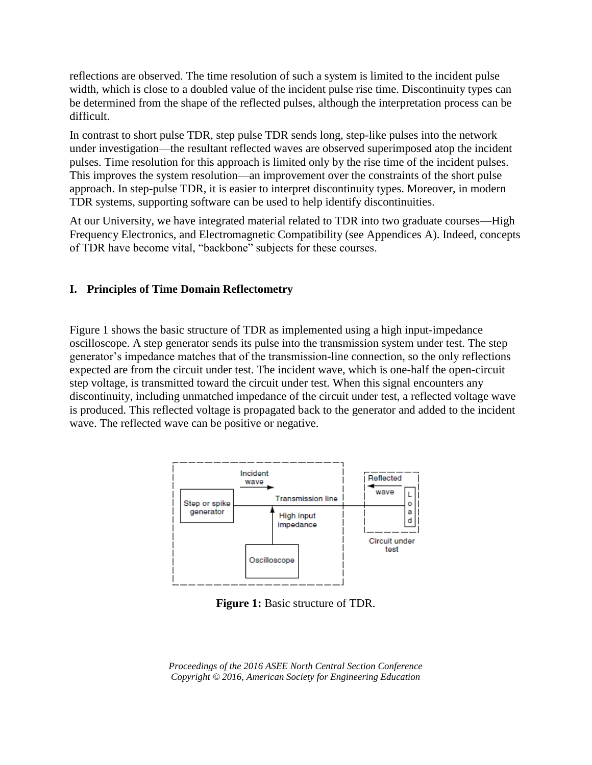reflections are observed. The time resolution of such a system is limited to the incident pulse width, which is close to a doubled value of the incident pulse rise time. Discontinuity types can be determined from the shape of the reflected pulses, although the interpretation process can be difficult.

In contrast to short pulse TDR, step pulse TDR sends long, step-like pulses into the network under investigation—the resultant reflected waves are observed superimposed atop the incident pulses. Time resolution for this approach is limited only by the rise time of the incident pulses. This improves the system resolution—an improvement over the constraints of the short pulse approach. In step-pulse TDR, it is easier to interpret discontinuity types. Moreover, in modern TDR systems, supporting software can be used to help identify discontinuities.

At our University, we have integrated material related to TDR into two graduate courses—High Frequency Electronics, and Electromagnetic Compatibility (see Appendices A). Indeed, concepts of TDR have become vital, "backbone" subjects for these courses.

## **I. Principles of Time Domain Reflectometry**

Figure 1 shows the basic structure of TDR as implemented using a high input-impedance oscilloscope. A step generator sends its pulse into the transmission system under test. The step generator's impedance matches that of the transmission-line connection, so the only reflections expected are from the circuit under test. The incident wave, which is one-half the open-circuit step voltage, is transmitted toward the circuit under test. When this signal encounters any discontinuity, including unmatched impedance of the circuit under test, a reflected voltage wave is produced. This reflected voltage is propagated back to the generator and added to the incident wave. The reflected wave can be positive or negative.



**Figure 1:** Basic structure of TDR.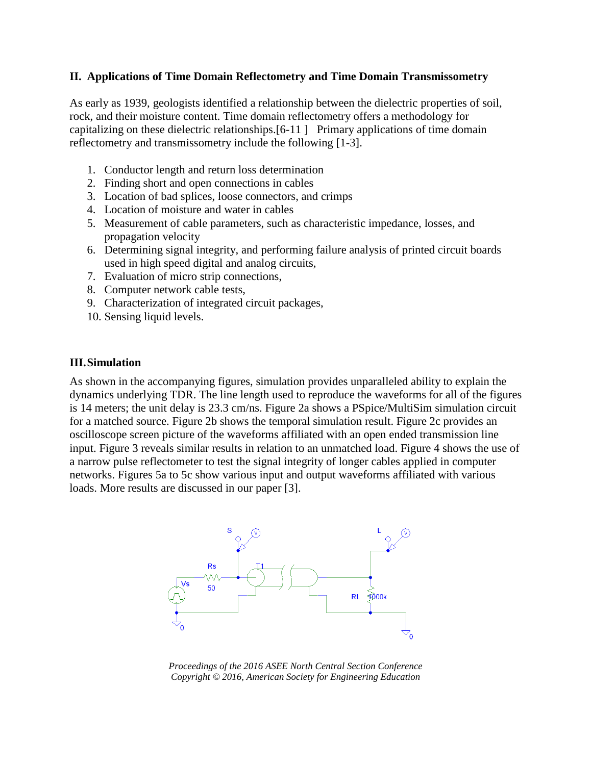## **II. Applications of Time Domain Reflectometry and Time Domain Transmissometry**

As early as 1939, geologists identified a relationship between the dielectric properties of soil, rock, and their moisture content. Time domain reflectometry offers a methodology for capitalizing on these dielectric relationships.[6-11 ] Primary applications of time domain reflectometry and transmissometry include the following [1-3].

- 1. Conductor length and return loss determination
- 2. Finding short and open connections in cables
- 3. Location of bad splices, loose connectors, and crimps
- 4. Location of moisture and water in cables
- 5. Measurement of cable parameters, such as characteristic impedance, losses, and propagation velocity
- 6. Determining signal integrity, and performing failure analysis of printed circuit boards used in high speed digital and analog circuits,
- 7. Evaluation of micro strip connections,
- 8. Computer network cable tests,
- 9. Characterization of integrated circuit packages,
- 10. Sensing liquid levels.

### **III.Simulation**

As shown in the accompanying figures, simulation provides unparalleled ability to explain the dynamics underlying TDR. The line length used to reproduce the waveforms for all of the figures is 14 meters; the unit delay is 23.3 cm/ns. Figure 2a shows a PSpice/MultiSim simulation circuit for a matched source. Figure 2b shows the temporal simulation result. Figure 2c provides an oscilloscope screen picture of the waveforms affiliated with an open ended transmission line input. Figure 3 reveals similar results in relation to an unmatched load. Figure 4 shows the use of a narrow pulse reflectometer to test the signal integrity of longer cables applied in computer networks. Figures 5a to 5c show various input and output waveforms affiliated with various loads. More results are discussed in our paper [3].



*Proceedings of the 2016 ASEE North Central Section Conference Copyright © 2016, American Society for Engineering Education*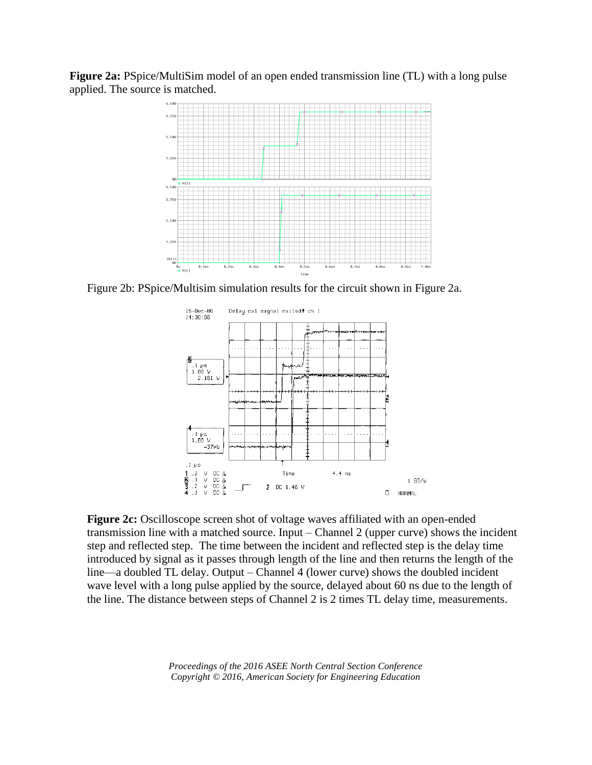**Figure 2a:** PSpice/MultiSim model of an open ended transmission line (TL) with a long pulse applied. The source is matched.



Figure 2b: PSpice/Multisim simulation results for the circuit shown in Figure 2a.



**Figure 2c:** Oscilloscope screen shot of voltage waves affiliated with an open-ended transmission line with a matched source. Input – Channel 2 (upper curve) shows the incident step and reflected step. The time between the incident and reflected step is the delay time introduced by signal as it passes through length of the line and then returns the length of the line—a doubled TL delay. Output – Channel 4 (lower curve) shows the doubled incident wave level with a long pulse applied by the source, delayed about 60 ns due to the length of the line. The distance between steps of Channel 2 is 2 times TL delay time, measurements.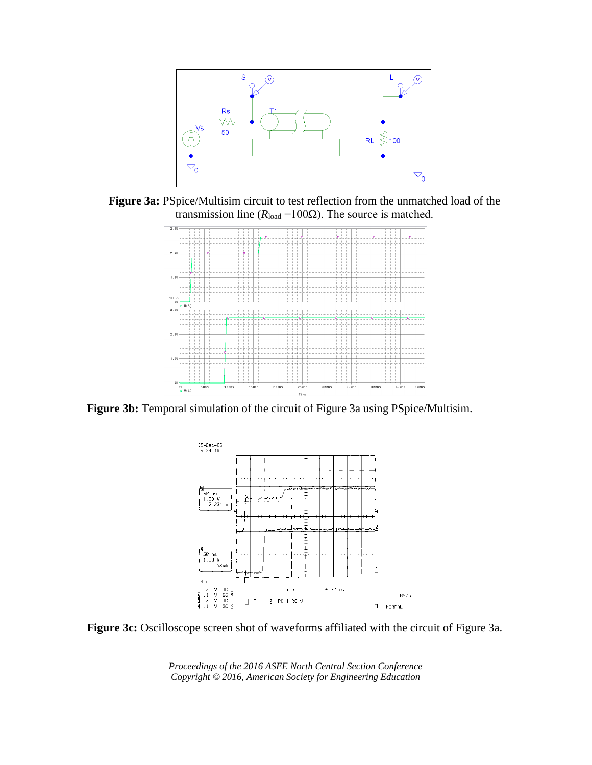

**Figure 3a:** PSpice/Multisim circuit to test reflection from the unmatched load of the transmission line ( $R_{load} = 100\Omega$ ). The source is matched.



**Figure 3b:** Temporal simulation of the circuit of Figure 3a using PSpice/Multisim.



**Figure 3c:** Oscilloscope screen shot of waveforms affiliated with the circuit of Figure 3a.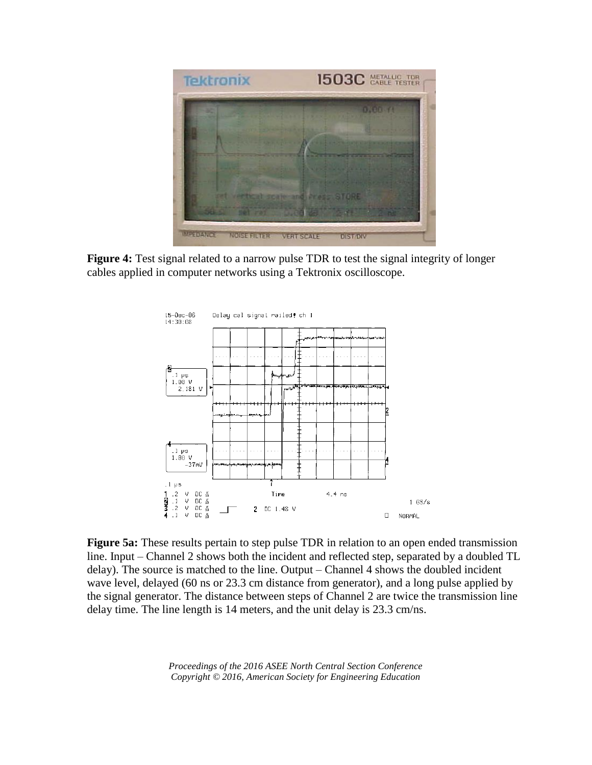

**Figure 4:** Test signal related to a narrow pulse TDR to test the signal integrity of longer cables applied in computer networks using a Tektronix oscilloscope.



**Figure 5a:** These results pertain to step pulse TDR in relation to an open ended transmission line. Input – Channel 2 shows both the incident and reflected step, separated by a doubled TL delay). The source is matched to the line. Output – Channel 4 shows the doubled incident wave level, delayed (60 ns or 23.3 cm distance from generator), and a long pulse applied by the signal generator. The distance between steps of Channel 2 are twice the transmission line delay time. The line length is 14 meters, and the unit delay is 23.3 cm/ns.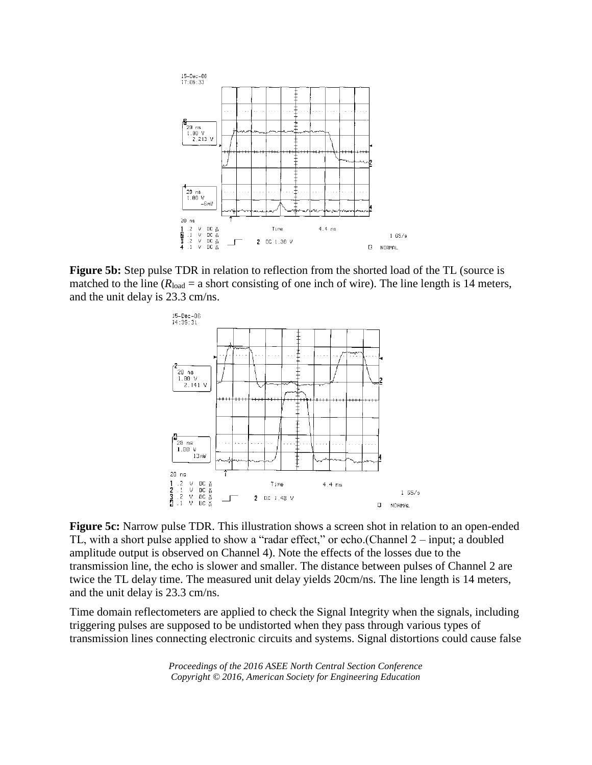

**Figure 5b:** Step pulse TDR in relation to reflection from the shorted load of the TL (source is matched to the line ( $R_{load} = a$  short consisting of one inch of wire). The line length is 14 meters, and the unit delay is 23.3 cm/ns.



**Figure 5c:** Narrow pulse TDR. This illustration shows a screen shot in relation to an open-ended TL, with a short pulse applied to show a "radar effect," or echo.(Channel 2 – input; a doubled amplitude output is observed on Channel 4). Note the effects of the losses due to the transmission line, the echo is slower and smaller. The distance between pulses of Channel 2 are twice the TL delay time. The measured unit delay yields 20cm/ns. The line length is 14 meters, and the unit delay is 23.3 cm/ns.

Time domain reflectometers are applied to check the Signal Integrity when the signals, including triggering pulses are supposed to be undistorted when they pass through various types of transmission lines connecting electronic circuits and systems. Signal distortions could cause false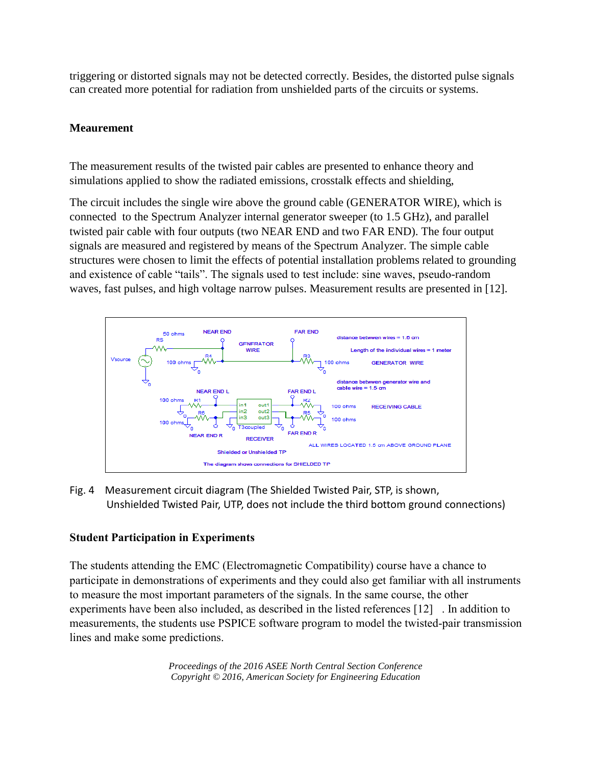triggering or distorted signals may not be detected correctly. Besides, the distorted pulse signals can created more potential for radiation from unshielded parts of the circuits or systems.

# **Meaurement**

The measurement results of the twisted pair cables are presented to enhance theory and simulations applied to show the radiated emissions, crosstalk effects and shielding,

The circuit includes the single wire above the ground cable (GENERATOR WIRE), which is connected to the Spectrum Analyzer internal generator sweeper (to 1.5 GHz), and parallel twisted pair cable with four outputs (two NEAR END and two FAR END). The four output signals are measured and registered by means of the Spectrum Analyzer. The simple cable structures were chosen to limit the effects of potential installation problems related to grounding and existence of cable "tails". The signals used to test include: sine waves, pseudo-random waves, fast pulses, and high voltage narrow pulses. Measurement results are presented in [12].



Fig. 4 Measurement circuit diagram (The Shielded Twisted Pair, STP, is shown, Unshielded Twisted Pair, UTP, does not include the third bottom ground connections)

# **Student Participation in Experiments**

The students attending the EMC (Electromagnetic Compatibility) course have a chance to participate in demonstrations of experiments and they could also get familiar with all instruments to measure the most important parameters of the signals. In the same course, the other experiments have been also included, as described in the listed references [12] . In addition to measurements, the students use PSPICE software program to model the twisted-pair transmission lines and make some predictions.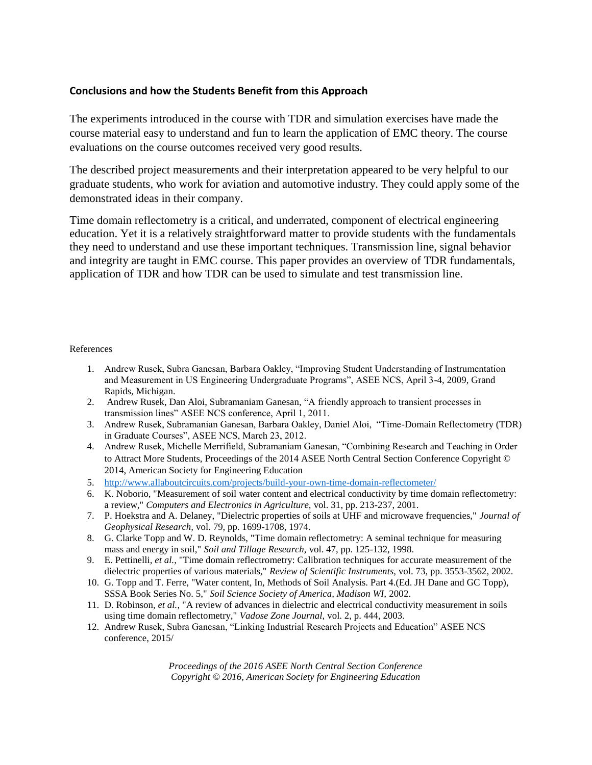## **Conclusions and how the Students Benefit from this Approach**

The experiments introduced in the course with TDR and simulation exercises have made the course material easy to understand and fun to learn the application of EMC theory. The course evaluations on the course outcomes received very good results.

The described project measurements and their interpretation appeared to be very helpful to our graduate students, who work for aviation and automotive industry. They could apply some of the demonstrated ideas in their company.

Time domain reflectometry is a critical, and underrated, component of electrical engineering education. Yet it is a relatively straightforward matter to provide students with the fundamentals they need to understand and use these important techniques. Transmission line, signal behavior and integrity are taught in EMC course. This paper provides an overview of TDR fundamentals, application of TDR and how TDR can be used to simulate and test transmission line.

### References

- 1. Andrew Rusek, Subra Ganesan, Barbara Oakley, "Improving Student Understanding of Instrumentation and Measurement in US Engineering Undergraduate Programs", ASEE NCS, April 3-4, 2009, Grand Rapids, Michigan.
- 2. Andrew Rusek, Dan Aloi, Subramaniam Ganesan, "A friendly approach to transient processes in transmission lines" ASEE NCS conference, April 1, 2011.
- 3. Andrew Rusek, Subramanian Ganesan, Barbara Oakley, Daniel Aloi, "Time-Domain Reflectometry (TDR) in Graduate Courses", ASEE NCS, March 23, 2012.
- 4. Andrew Rusek, Michelle Merrifield, Subramaniam Ganesan, "Combining Research and Teaching in Order to Attract More Students, Proceedings of the 2014 ASEE North Central Section Conference Copyright © 2014, American Society for Engineering Education
- 5. <http://www.allaboutcircuits.com/projects/build-your-own-time-domain-reflectometer/>
- 6. K. Noborio, "Measurement of soil water content and electrical conductivity by time domain reflectometry: a review," *Computers and Electronics in Agriculture,* vol. 31, pp. 213-237, 2001.
- 7. P. Hoekstra and A. Delaney, "Dielectric properties of soils at UHF and microwave frequencies," *Journal of Geophysical Research,* vol. 79, pp. 1699-1708, 1974.
- 8. G. Clarke Topp and W. D. Reynolds, "Time domain reflectometry: A seminal technique for measuring mass and energy in soil," *Soil and Tillage Research,* vol. 47, pp. 125-132, 1998.
- 9. E. Pettinelli*, et al.*, "Time domain reflectrometry: Calibration techniques for accurate measurement of the dielectric properties of various materials," *Review of Scientific Instruments,* vol. 73, pp. 3553-3562, 2002.
- 10. G. Topp and T. Ferre, "Water content, In, Methods of Soil Analysis. Part 4.(Ed. JH Dane and GC Topp), SSSA Book Series No. 5," *Soil Science Society of America, Madison WI,* 2002.
- 11. D. Robinson*, et al.*, "A review of advances in dielectric and electrical conductivity measurement in soils using time domain reflectometry," *Vadose Zone Journal,* vol. 2, p. 444, 2003.
- 12. Andrew Rusek, Subra Ganesan, "Linking Industrial Research Projects and Education" ASEE NCS conference, 2015/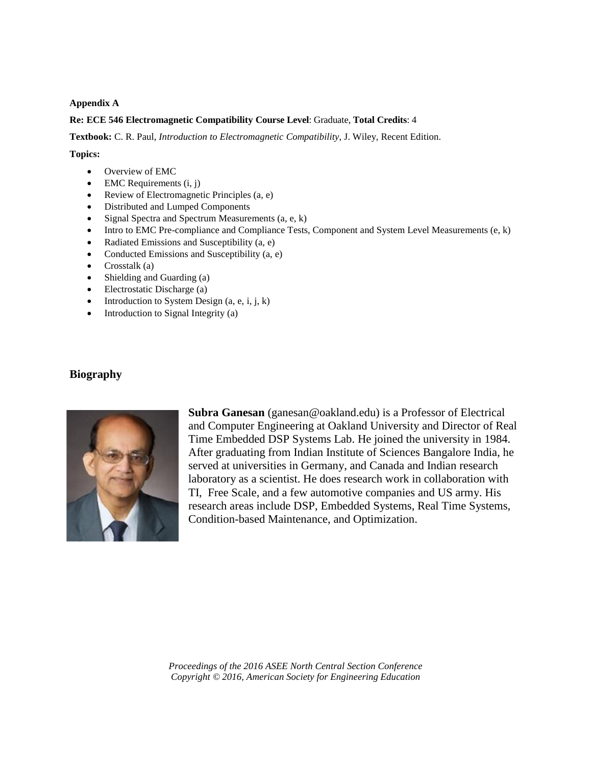#### **Appendix A**

#### **Re: ECE 546 Electromagnetic Compatibility Course Level**: Graduate, **Total Credits**: 4

**Textbook:** C. R. Paul, *Introduction to Electromagnetic Compatibility*, J. Wiley, Recent Edition.

#### **Topics:**

- Overview of EMC
- EMC Requirements (i, j)
- Review of Electromagnetic Principles (a, e)
- Distributed and Lumped Components
- $\bullet$  Signal Spectra and Spectrum Measurements (a, e, k)
- Intro to EMC Pre-compliance and Compliance Tests, Component and System Level Measurements (e, k)
- Radiated Emissions and Susceptibility (a, e)
- Conducted Emissions and Susceptibility (a, e)
- Crosstalk  $(a)$
- Shielding and Guarding (a)
- Electrostatic Discharge (a)
- Introduction to System Design  $(a, e, i, j, k)$
- Introduction to Signal Integrity (a)

### **Biography**



**Subra Ganesan** (ganesan@oakland.edu) is a Professor of Electrical and Computer Engineering at Oakland University and Director of Real Time Embedded DSP Systems Lab. He joined the university in 1984. After graduating from Indian Institute of Sciences Bangalore India, he served at universities in Germany, and Canada and Indian research laboratory as a scientist. He does research work in collaboration with TI, Free Scale, and a few automotive companies and US army. His research areas include DSP, Embedded Systems, Real Time Systems, Condition-based Maintenance, and Optimization.